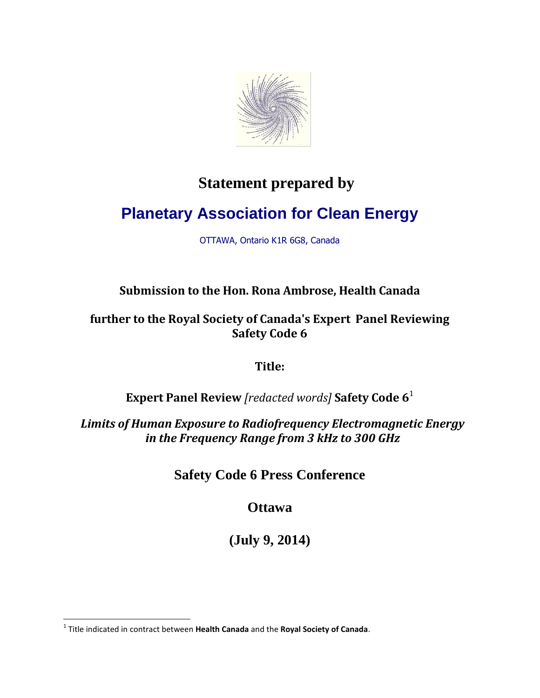

## **Statement prepared by**

## **Planetary Association for Clean Energy**

OTTAWA, Ontario K1R 6G8, Canada

## **Submission to the Hon. Rona Ambrose, Health Canada**

## **further to the Royal Society of Canada's Expert Panel Reviewing Safety Code 6**

**Title:**

**Expert Panel Review** *[redacted words]* **Safety Code 6** 1

*Limits of Human Exposure to Radiofrequency Electromagnetic Energy in the Frequency Range from 3 kHz to 300 GHz*

**Safety Code 6 Press Conference**

**Ottawa**

**(July 9, 2014)**

 $\overline{\phantom{a}}$ 

<sup>1</sup> Title indicated in contract between **Health Canada** and the **Royal Society of Canada**.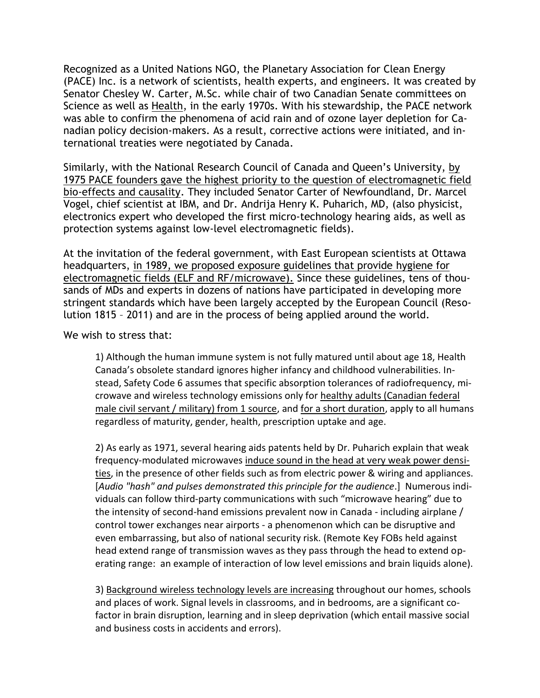Recognized as a United Nations NGO, the Planetary Association for Clean Energy (PACE) Inc. is a network of scientists, health experts, and engineers. It was created by Senator Chesley W. Carter, M.Sc. while chair of two Canadian Senate committees on Science as well as Health, in the early 1970s. With his stewardship, the PACE network was able to confirm the phenomena of acid rain and of ozone layer depletion for Canadian policy decision-makers. As a result, corrective actions were initiated, and international treaties were negotiated by Canada.

Similarly, with the National Research Council of Canada and Queen's University, by 1975 PACE founders gave the highest priority to the question of electromagnetic field bio-effects and causality. They included Senator Carter of Newfoundland, Dr. Marcel Vogel, chief scientist at IBM, and Dr. Andrija Henry K. Puharich, MD, (also physicist, electronics expert who developed the first micro-technology hearing aids, as well as protection systems against low-level electromagnetic fields).

At the invitation of the federal government, with East European scientists at Ottawa headquarters, in 1989, we proposed exposure guidelines that provide hygiene for electromagnetic fields (ELF and RF/microwave). Since these guidelines, tens of thousands of MDs and experts in dozens of nations have participated in developing more stringent standards which have been largely accepted by the European Council (Resolution 1815 – 2011) and are in the process of being applied around the world.

We wish to stress that:

1) Although the human immune system is not fully matured until about age 18, Health Canada's obsolete standard ignores higher infancy and childhood vulnerabilities. Instead, Safety Code 6 assumes that specific absorption tolerances of radiofrequency, microwave and wireless technology emissions only for healthy adults (Canadian federal male civil servant / military) from 1 source, and for a short duration, apply to all humans regardless of maturity, gender, health, prescription uptake and age.

2) As early as 1971, several hearing aids patents held by Dr. Puharich explain that weak frequency-modulated microwaves induce sound in the head at very weak power densities, in the presence of other fields such as from electric power & wiring and appliances. [*Audio "hash" and pulses demonstrated this principle for the audience*.] Numerous individuals can follow third-party communications with such "microwave hearing" due to the intensity of second-hand emissions prevalent now in Canada - including airplane / control tower exchanges near airports - a phenomenon which can be disruptive and even embarrassing, but also of national security risk. (Remote Key FOBs held against head extend range of transmission waves as they pass through the head to extend operating range: an example of interaction of low level emissions and brain liquids alone).

3) Background wireless technology levels are increasing throughout our homes, schools and places of work. Signal levels in classrooms, and in bedrooms, are a significant cofactor in brain disruption, learning and in sleep deprivation (which entail massive social and business costs in accidents and errors).